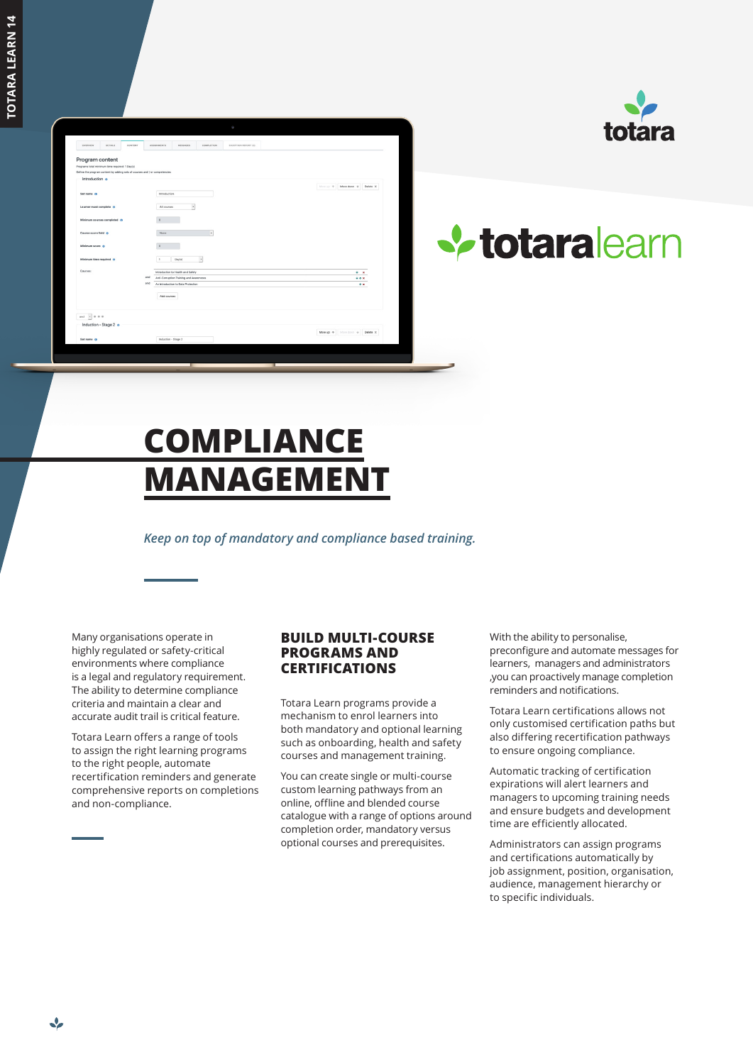| overview                  | <b>DETAILS</b>                                                    | CONTENT | ASSIGNMENTS                                                                | MESSAGES                                                                      | <b>COMPLETION</b>        | EXCEPTION REPORT (D) |                                          |  |
|---------------------------|-------------------------------------------------------------------|---------|----------------------------------------------------------------------------|-------------------------------------------------------------------------------|--------------------------|----------------------|------------------------------------------|--|
|                           | Program content<br>Programs total minimum time required: 1 Day(s) |         | Define the program content by adding sets of courses and / or competencies |                                                                               |                          |                      |                                          |  |
| Introduction o            |                                                                   |         |                                                                            |                                                                               |                          |                      |                                          |  |
|                           |                                                                   |         |                                                                            |                                                                               |                          |                      | Move on $\Phi$ Move down $\Phi$ Delete X |  |
| Set name O                |                                                                   |         | Introduction                                                               |                                                                               |                          |                      |                                          |  |
|                           |                                                                   |         |                                                                            |                                                                               |                          |                      |                                          |  |
| Learner must complete 0   |                                                                   |         | All courses                                                                | $\overline{\phantom{a}}$                                                      |                          |                      |                                          |  |
|                           | Minimum courses completed ()                                      |         | $\circ$                                                                    |                                                                               |                          |                      |                                          |  |
|                           |                                                                   |         |                                                                            |                                                                               |                          |                      |                                          |  |
| Course score field 0      |                                                                   |         | None                                                                       |                                                                               | ٠                        |                      |                                          |  |
|                           |                                                                   |         |                                                                            |                                                                               |                          |                      |                                          |  |
| Minimum score O           |                                                                   |         | $\theta$                                                                   |                                                                               |                          |                      |                                          |  |
| Minimum time required (1) |                                                                   |         | $\mathbf{1}$                                                               | Day(s)                                                                        | $\overline{\phantom{a}}$ |                      |                                          |  |
|                           |                                                                   |         |                                                                            |                                                                               |                          |                      |                                          |  |
| Courses:                  |                                                                   |         |                                                                            | Introduction to Health and Safety                                             |                          |                      | $+ x$                                    |  |
|                           |                                                                   |         | and<br>and                                                                 | Anti-Corruption Training and Awarenesss<br>An Introduction to Data Protection |                          |                      | $+ +$                                    |  |
|                           |                                                                   |         |                                                                            |                                                                               |                          |                      | $+ x$                                    |  |
|                           |                                                                   |         | Add courses                                                                |                                                                               |                          |                      |                                          |  |
|                           |                                                                   |         |                                                                            |                                                                               |                          |                      |                                          |  |
|                           |                                                                   |         |                                                                            |                                                                               |                          |                      |                                          |  |
| and $\rightarrow$ 0 0 0   |                                                                   |         |                                                                            |                                                                               |                          |                      |                                          |  |
|                           | Induction - Stage 2 o                                             |         |                                                                            |                                                                               |                          |                      |                                          |  |
| Set name O                |                                                                   |         |                                                                            |                                                                               |                          |                      | Move up $\Phi$ Move down & Delete 30     |  |
|                           |                                                                   |         | Induction - Stage 2                                                        |                                                                               |                          |                      |                                          |  |



# **V** totaralearn

## **COMPLIANCE MANAGEMENT**

*Keep on top of mandatory and compliance based training.*

Many organisations operate in highly regulated or safety-critical environments where compliance is a legal and regulatory requirement. The ability to determine compliance criteria and maintain a clear and accurate audit trail is critical feature.

Totara Learn offers a range of tools to assign the right learning programs to the right people, automate recertification reminders and generate comprehensive reports on completions and non-compliance.

#### **BUILD MULTI-COURSE PROGRAMS AND CERTIFICATIONS**

Totara Learn programs provide a mechanism to enrol learners into both mandatory and optional learning such as onboarding, health and safety courses and management training.

You can create single or multi-course custom learning pathways from an online, offline and blended course catalogue with a range of options around completion order, mandatory versus optional courses and prerequisites.

With the ability to personalise, preconfigure and automate messages for learners, managers and administrators ,you can proactively manage completion reminders and notifications.

Totara Learn certifications allows not only customised certification paths but also differing recertification pathways to ensure ongoing compliance.

Automatic tracking of certification expirations will alert learners and managers to upcoming training needs and ensure budgets and development time are efficiently allocated.

Administrators can assign programs and certifications automatically by job assignment, position, organisation, audience, management hierarchy or to specific individuals.

↩